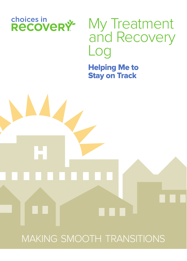

H

# My Treatment and Recovery Log

Helping Me to Stay on Track

MAKING SMOOTH TRANSITIONS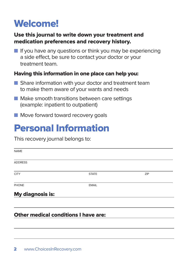## Welcome!

### Use this journal to write down your treatment and medication preferences and recovery history.

 $\blacksquare$  If you have any questions or think you may be experiencing a side effect, be sure to contact your doctor or your treatment team.

### Having this information in one place can help you:

- **n** Share information with your doctor and treatment team to make them aware of your wants and needs
- $\blacksquare$  Make smooth transitions between care settings (example: inpatient to outpatient)
- $\blacksquare$  Move forward toward recovery goals

### Personal Information

This recovery journal belongs to:

| <b>NAME</b>      |              |     |
|------------------|--------------|-----|
| <b>ADDRESS</b>   |              |     |
| <b>CITY</b>      | <b>STATE</b> | ZIP |
| PHONE            | <b>EMAIL</b> |     |
| My diagnosis is: |              |     |
|                  |              |     |
|                  |              |     |

### Other medical conditions I have are: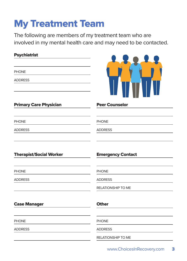# My Treatment Team

The following are members of my treatment team who are involved in my mental health care and may need to be contacted.

| <b>Psychiatrist</b>            |                          |
|--------------------------------|--------------------------|
| <b>PHONE</b><br><b>ADDRESS</b> |                          |
| <b>Primary Care Physician</b>  | <b>Peer Counselor</b>    |
| <b>PHONE</b>                   | <b>PHONE</b>             |
| <b>ADDRESS</b>                 | <b>ADDRESS</b>           |
| <b>Therapist/Social Worker</b> | <b>Emergency Contact</b> |
| <b>PHONE</b>                   | <b>PHONE</b>             |
| <b>ADDRESS</b>                 | <b>ADDRESS</b>           |
|                                | RELATIONSHIP TO ME       |
| <b>Case Manager</b>            | <b>Other</b>             |
| <b>PHONE</b>                   | <b>PHONE</b>             |
| <b>ADDRESS</b>                 | <b>ADDRESS</b>           |
|                                | RELATIONSHIP TO ME       |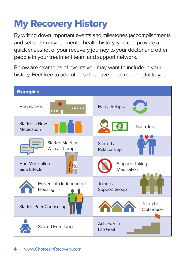# My Recovery History

By writing down important events and milestones (accomplishments and setbacks) in your mental health history, you can provide a quick snapshot of your recovery journey to your doctor and other people in your treatment team and support network.

Below are examples of events you may want to include in your history. Feel free to add others that have been meaningful to you.

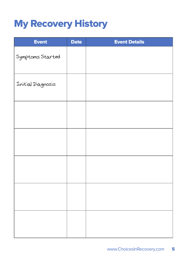## My Recovery History

| <b>Event</b>      | <b>Date</b> | <b>Event Details</b> |
|-------------------|-------------|----------------------|
| Symptoms Started  |             |                      |
| Initial Diagnosis |             |                      |
|                   |             |                      |
|                   |             |                      |
|                   |             |                      |
|                   |             |                      |
|                   |             |                      |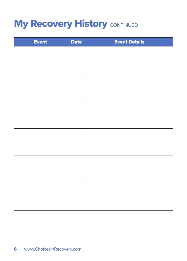## **My Recovery History CONTINUED**

| <b>Event</b> | <b>Date</b> | <b>Event Details</b> |
|--------------|-------------|----------------------|
|              |             |                      |
|              |             |                      |
|              |             |                      |
|              |             |                      |
|              |             |                      |
|              |             |                      |
|              |             |                      |
|              |             |                      |
|              |             |                      |
|              |             |                      |
|              |             |                      |
|              |             |                      |
|              |             |                      |
|              |             |                      |
|              |             |                      |
|              |             |                      |
|              |             |                      |
|              |             |                      |
|              |             |                      |
|              |             |                      |
|              |             |                      |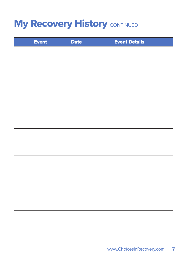## **My Recovery History CONTINUED**

| <b>Event</b> | <b>Date</b> | <b>Event Details</b> |
|--------------|-------------|----------------------|
|              |             |                      |
|              |             |                      |
|              |             |                      |
|              |             |                      |
|              |             |                      |
|              |             |                      |
|              |             |                      |
|              |             |                      |
|              |             |                      |
|              |             |                      |
|              |             |                      |
|              |             |                      |
|              |             |                      |
|              |             |                      |
|              |             |                      |
|              |             |                      |
|              |             |                      |
|              |             |                      |
|              |             |                      |
|              |             |                      |
|              |             |                      |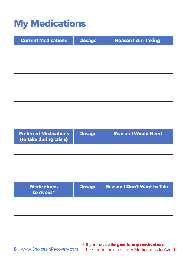## My Medications

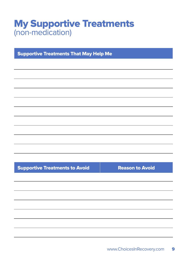### My Supportive Treatments (non-medication)

Supportive Treatments That May Help Me

Supportive Treatments to Avoid | Reason to Avoid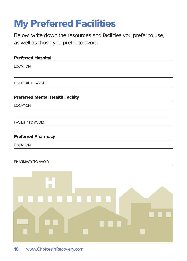# My Preferred Facilities

Below, write down the resources and facilities you prefer to use, as well as those you prefer to avoid.

| <b>Preferred Hospital</b>               |
|-----------------------------------------|
| <b>LOCATION</b>                         |
|                                         |
| <b>HOSPITAL TO AVOID</b>                |
| <b>Preferred Mental Health Facility</b> |
| <b>LOCATION</b>                         |
|                                         |
| <b>FACILITY TO AVOID</b>                |
| <b>Preferred Pharmacy</b>               |
| <b>LOCATION</b>                         |
|                                         |
| PHARMACY TO AVOID                       |
|                                         |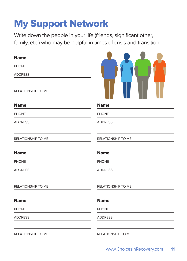## My Support Network

Write down the people in your life (friends, significant other, family, etc.) who may be helpful in times of crisis and transition.

| <b>Name</b>               |                           |
|---------------------------|---------------------------|
| <b>PHONE</b>              |                           |
| <b>ADDRESS</b>            |                           |
| RELATIONSHIP TO ME        |                           |
| <b>Name</b>               | <b>Name</b>               |
| <b>PHONE</b>              | <b>PHONE</b>              |
| <b>ADDRESS</b>            | <b>ADDRESS</b>            |
| RELATIONSHIP TO ME        | RELATIONSHIP TO ME        |
| <b>Name</b>               | <b>Name</b>               |
| <b>PHONE</b>              | <b>PHONE</b>              |
| <b>ADDRESS</b>            | <b>ADDRESS</b>            |
| RELATIONSHIP TO ME        | RELATIONSHIP TO ME        |
| <b>Name</b>               | <b>Name</b>               |
| <b>PHONE</b>              | <b>PHONE</b>              |
| <b>ADDRESS</b>            | <b>ADDRESS</b>            |
| <b>RELATIONSHIP TO ME</b> | <b>RELATIONSHIP TO ME</b> |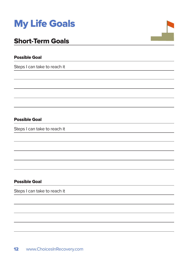

### Short-Term Goals

#### Possible Goal

Steps I can take to reach it

Possible Goal

Steps I can take to reach it

#### Possible Goal

Steps I can take to reach it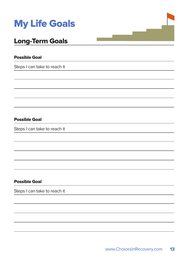

### Long-Term Goals

#### Possible Goal

Steps I can take to reach it

Possible Goal

Steps I can take to reach it

#### Possible Goal

Steps I can take to reach it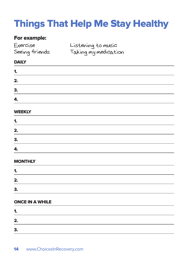# Things That Help Me Stay Healthy

### For example:

| Exercise<br>Seeing friends | Listening to music<br>Taking my medication |  |
|----------------------------|--------------------------------------------|--|
| <b>DAILY</b>               |                                            |  |
| 1.                         |                                            |  |
| 2.                         |                                            |  |
| 3.                         |                                            |  |
| 4.                         |                                            |  |

#### WEEKLY

| 1. |  |  |
|----|--|--|
| 2. |  |  |
| З. |  |  |
| 4. |  |  |

#### **MONTHLY**

| 4<br>п۰ |  |  |  |
|---------|--|--|--|
| 2.      |  |  |  |
| 3.      |  |  |  |

#### ONCE IN A WHILE

| 1. |  |  |  |
|----|--|--|--|
| 2. |  |  |  |
| 3. |  |  |  |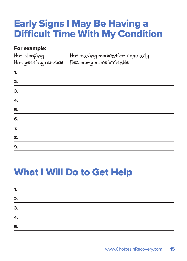### Early Signs I May Be Having a Difficult Time With My Condition

### For example:

| Not sleeping | Not taking medication regularly             |
|--------------|---------------------------------------------|
|              | Not getting outside Becoming more irritable |

| 1.                          |  |  |  |
|-----------------------------|--|--|--|
| 2.                          |  |  |  |
| $\overline{\phantom{a}}$ 3. |  |  |  |
|                             |  |  |  |
| $\frac{4.}{5.}$<br>6.       |  |  |  |
|                             |  |  |  |
|                             |  |  |  |
| $\frac{7.}{8.}$<br>9.       |  |  |  |
|                             |  |  |  |

## What I Will Do to Get Help

| 1. |  |  |
|----|--|--|
| 2. |  |  |
| 3. |  |  |
| 4. |  |  |
| 5. |  |  |